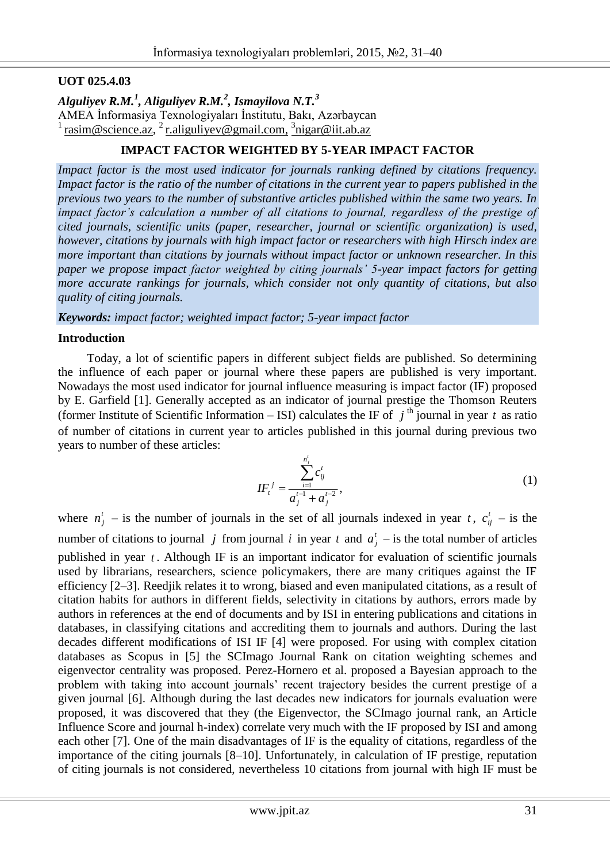# **UOT 025.4.03**

*Alguliyev R.M.<sup>1</sup> , Aliguliyev R.M.<sup>2</sup> , Ismayilova N.T.<sup>3</sup>* AMEA İnformasiya Texnologiyaları İnstitutu, Bakı, Azərbaycan  $\frac{1}{1}$  rasim@science.az,  $\frac{2}{1}$  [r.aliguliyev@gmail.com,](mailto:r.aliguliyev@gmail.com)  $\frac{3}{1}$ [nigar@iit.ab.az](mailto:3nigar@iit.ab.az)

# **IMPACT FACTOR WEIGHTED BY 5-YEAR IMPACT FACTOR**

*Impact factor is the most used indicator for journals ranking defined by citations frequency. Impact factor is the ratio of the number of citations in the current year to papers published in the previous two years to the number of substantive articles published within the same two years. In impact factor's calculation a number of all citations to journal, regardless of the prestige of cited journals, scientific units (paper, researcher, journal or scientific organization) is used, however, citations by journals with high impact factor or researchers with high Hirsch index are more important than citations by journals without impact factor or unknown researcher. In this paper we propose impact factor weighted by citing journals' 5-year impact factors for getting more accurate rankings for journals, which consider not only quantity of citations, but also quality of citing journals.*

*Keywords: impact factor; weighted impact factor; 5-year impact factor*

### **Introduction**

Today, a lot of scientific papers in different subject fields are published. So determining the influence of each paper or journal where these papers are published is very important. Nowadays the most used indicator for journal influence measuring is impact factor (IF) proposed by E. Garfield [1]. Generally accepted as an indicator of journal prestige the Thomson Reuters (former Institute of Scientific Information – ISI) calculates the IF of  $j^{\text{th}}$  journal in year t as ratio of number of citations in current year to articles published in this journal during previous two years to number of these articles:

$$
IF_{t}^{j} = \frac{\sum_{i=1}^{n'_{j}} c_{ij}^{t}}{a_{j}^{t-1} + a_{j}^{t-2}},
$$
\n(1)

where  $n_j^t$  – is the number of journals in the set of all journals indexed in year t,  $c_{ij}^t$  – is the number of citations to journal *j* from journal *i* in year *t* and  $a_j^t$  – is the total number of articles published in year *t* . Although IF is an important indicator for evaluation of scientific journals used by librarians, researchers, science policymakers, there are many critiques against the IF efficiency [2–3]. Reedjik relates it to wrong, biased and even manipulated citations, as a result of citation habits for authors in different fields, selectivity in citations by authors, errors made by authors in references at the end of documents and by ISI in entering publications and citations in databases, in classifying citations and accrediting them to journals and authors. During the last decades different modifications of ISI IF [4] were proposed. For using with complex citation databases as Scopus in [5] the SCImago Journal Rank on citation weighting schemes and eigenvector centrality was proposed. Perez-Hornero et al. proposed a Bayesian approach to the problem with taking into account journals' recent trajectory besides the current prestige of a given journal [6]. Although during the last decades new indicators for journals evaluation were proposed, it was discovered that they (the Eigenvector, the SCImago journal rank, an Article Influence Score and journal h-index) correlate very much with the IF proposed by ISI and among each other [7]. One of the main disadvantages of IF is the equality of citations, regardless of the importance of the citing journals [8–10]. Unfortunately, in calculation of IF prestige, reputation of citing journals is not considered, nevertheless 10 citations from journal with high IF must be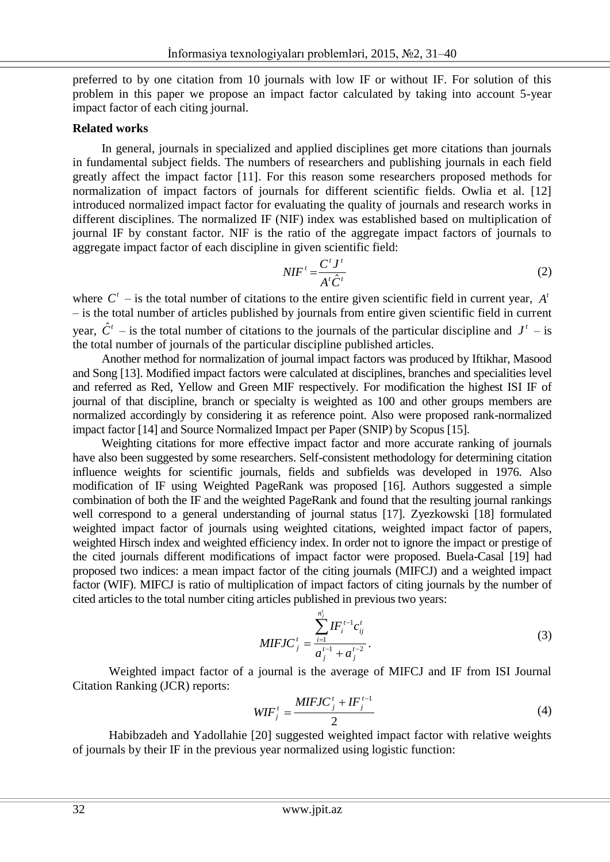preferred to by one citation from 10 journals with low IF or without IF. For solution of this problem in this paper we propose an impact factor calculated by taking into account 5-year impact factor of each citing journal.

### **Related works**

In general, journals in specialized and applied disciplines get more citations than journals in fundamental subject fields. The numbers of researchers and publishing journals in each field greatly affect the impact factor [11]. For this reason some researchers proposed methods for normalization of impact factors of journals for different scientific fields. Owlia et al. [12] introduced normalized impact factor for evaluating the quality of journals and research works in different disciplines. The normalized IF (NIF) index was established based on multiplication of journal IF by constant factor. NIF is the ratio of the aggregate impact factors of journals to aggregate impact factor of each discipline in given scientific field:

$$
NIF' = \frac{C'J'}{A'\hat{C}'}\tag{2}
$$

where  $C^t$  – is the total number of citations to the entire given scientific field in current year,  $A^t$ – is the total number of articles published by journals from entire given scientific field in current year,  $\hat{C}^t$  – is the total number of citations to the journals of the particular discipline and  $J^t$  – is the total number of journals of the particular discipline published articles.

Another method for normalization of journal impact factors was produced by Iftikhar, Masood and Song [13]. Modified impact factors were calculated at disciplines, branches and specialities level and referred as Red, Yellow and Green MIF respectively. For modification the highest ISI IF of journal of that discipline, branch or specialty is weighted as 100 and other groups members are normalized accordingly by considering it as reference point. Also were proposed rank-normalized impact factor [14] and Source Normalized Impact per Paper (SNIP) by Scopus [15].

Weighting citations for more effective impact factor and more accurate ranking of journals have also been suggested by some researchers. Self-consistent methodology for determining citation influence weights for scientific journals, fields and subfields was developed in 1976. Also modification of IF using Weighted PageRank was proposed [16]. Authors suggested a simple combination of both the IF and the weighted PageRank and found that the resulting journal rankings well correspond to a general understanding of journal status [17]. Zyezkowski [18] formulated weighted impact factor of journals using weighted citations, weighted impact factor of papers, weighted Hirsch index and weighted efficiency index. In order not to ignore the impact or prestige of the cited journals different modifications of impact factor were proposed. Buela-Casal [19] had proposed two indices: a mean impact factor of the citing journals (MIFCJ) and a weighted impact factor (WIF). MIFCJ is ratio of multiplication of impact factors of citing journals by the number of cited articles to the total number citing articles published in previous two years:

$$
MIFJC_j^t = \frac{\sum_{i=1}^{n_j^t} IF_i^{t-1}c_{ij}^t}{a_j^{t-1} + a_j^{t-2}}.
$$
\n(3)

Weighted impact factor of a journal is the average of MIFCJ and IF from ISI Journal Citation Ranking (JCR) reports:

$$
WIF_j^t = \frac{MIFJC_j^t + IF_j^{t-1}}{2}
$$
 (4)

Habibzadeh and Yadollahie [20] suggested weighted impact factor with relative weights of journals by their IF in the previous year normalized using logistic function: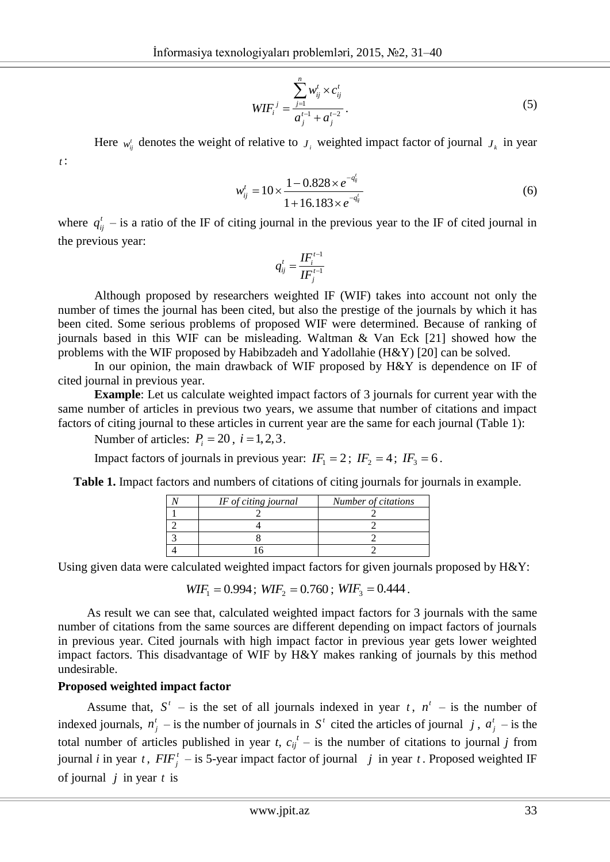$$
WIF_{i}^{j} = \frac{\sum_{j=1}^{n} w_{ij}^{t} \times c_{ij}^{t}}{a_{j}^{t-1} + a_{j}^{t-2}}.
$$
\n(5)

Here  $w^i_{ij}$  denotes the weight of relative to  $J_i$  weighted impact factor of journal  $J_k$  in year *t* :

$$
w_{ij}^{t} = 10 \times \frac{1 - 0.828 \times e^{-q_{ij}^{t}}}{1 + 16.183 \times e^{-q_{ij}^{t}}}
$$
(6)

where  $q_{ij}^t$  – is a ratio of the IF of citing journal in the previous year to the IF of cited journal in the previous year:

$$
q_{ij}^t = \frac{\boldsymbol{I}\boldsymbol{F}_i^{t-1}}{\boldsymbol{I}\boldsymbol{F}_j^{t-1}}
$$

Although proposed by researchers weighted IF (WIF) takes into account not only the number of times the journal has been cited, but also the prestige of the journals by which it has been cited. Some serious problems of proposed WIF were determined. Because of ranking of journals based in this WIF can be misleading. Waltman & Van Eck [21] showed how the problems with the WIF proposed by Habibzadeh and Yadollahie (H&Y) [20] can be solved.

In our opinion, the main drawback of WIF proposed by H&Y is dependence on IF of cited journal in previous year.

**Example**: Let us calculate weighted impact factors of 3 journals for current year with the same number of articles in previous two years, we assume that number of citations and impact factors of citing journal to these articles in current year are the same for each journal (Table 1):

Number of articles:  $P_i = 20$ ,  $i = 1, 2, 3$ .

Impact factors of journals in previous year:  $IF_1 = 2$ ;  $IF_2 = 4$ ;  $IF_3 = 6$ .

**Table 1.** Impact factors and numbers of citations of citing journals for journals in example.

| IF of citing journal | Number of citations |
|----------------------|---------------------|
|                      |                     |
|                      |                     |
|                      |                     |
|                      |                     |

Using given data were calculated weighted impact factors for given journals proposed by H&Y:

 $WIF_1 = 0.994$ ;  $WIF_2 = 0.760$ ;  $WIF_3 = 0.444$ .

As result we can see that, calculated weighted impact factors for 3 journals with the same number of citations from the same sources are different depending on impact factors of journals in previous year. Cited journals with high impact factor in previous year gets lower weighted impact factors. This disadvantage of WIF by H&Y makes ranking of journals by this method undesirable.

### **Proposed weighted impact factor**

Assume that,  $S^t$  – is the set of all journals indexed in year t,  $n^t$  – is the number of indexed journals,  $n_j^t$  – is the number of journals in S<sup>t</sup> cited the articles of journal j,  $a_j^t$  – is the total number of articles published in year *t*,  $c_{ij}^t$  – is the number of citations to journal *j* from journal *i* in year *t*,  $FIF_j^t$  – is 5-year impact factor of journal *j* in year *t*. Proposed weighted IF of journal  $j$  in year  $t$  is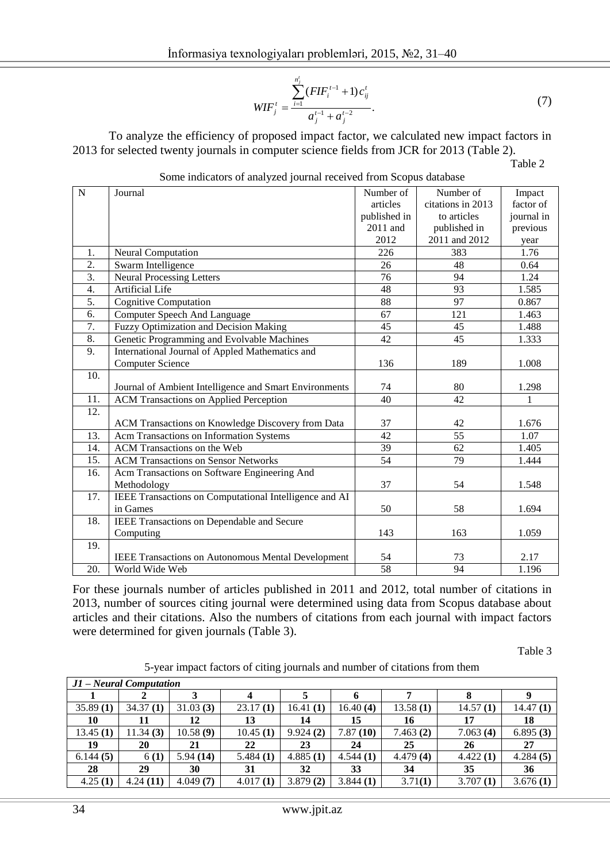$$
WIF'_{j} = \frac{\sum_{i=1}^{n'_{j}} (FIF^{t-1}_{i} + 1)c'_{ij}}{a'_{j}^{t-1} + a'_{j}^{t-2}}.
$$
 (7)

To analyze the efficiency of proposed impact factor, we calculated new impact factors in 2013 for selected twenty journals in computer science fields from JCR for 2013 (Table 2).

Table 2

|  |  |  | Some indicators of analyzed journal received from Scopus database |
|--|--|--|-------------------------------------------------------------------|
|  |  |  |                                                                   |

| ${\bf N}$        | Journal                                                   | Number of    | Number of         | Impact     |
|------------------|-----------------------------------------------------------|--------------|-------------------|------------|
|                  |                                                           | articles     | citations in 2013 | factor of  |
|                  |                                                           | published in | to articles       | journal in |
|                  |                                                           | 2011 and     | published in      | previous   |
|                  |                                                           | 2012         | 2011 and 2012     | year       |
| 1.               | Neural Computation                                        | 226          | 383               | 1.76       |
| 2.               | Swarm Intelligence                                        | 26           | 48                | 0.64       |
| 3.               | <b>Neural Processing Letters</b>                          | 76           | 94                | 1.24       |
| $\overline{4}$ . | <b>Artificial Life</b>                                    | 48           | 93                | 1.585      |
| 5.               | <b>Cognitive Computation</b>                              | 88           | 97                | 0.867      |
| 6.               | <b>Computer Speech And Language</b>                       | 67           | 121               | 1.463      |
| 7.               | <b>Fuzzy Optimization and Decision Making</b>             | 45           | 45                | 1.488      |
| $\overline{8}$ . | Genetic Programming and Evolvable Machines                | 42           | 45                | 1.333      |
| 9.               | International Journal of Appled Mathematics and           |              |                   |            |
|                  | <b>Computer Science</b>                                   | 136          | 189               | 1.008      |
| 10.              |                                                           |              |                   |            |
|                  | Journal of Ambient Intelligence and Smart Environments    | 74           | 80                | 1.298      |
| 11.              | <b>ACM Transactions on Applied Perception</b>             | 40           | 42                | 1          |
| 12.              |                                                           |              |                   |            |
|                  | ACM Transactions on Knowledge Discovery from Data         | 37           | 42                | 1.676      |
| 13.              | Acm Transactions on Information Systems                   | 42           | $\overline{55}$   | 1.07       |
| 14.              | <b>ACM Transactions on the Web</b>                        | 39           | 62                | 1.405      |
| 15.              | <b>ACM Transactions on Sensor Networks</b>                | 54           | 79                | 1.444      |
| 16.              | Acm Transactions on Software Engineering And              |              |                   |            |
|                  | Methodology                                               | 37           | 54                | 1.548      |
| 17.              | IEEE Transactions on Computational Intelligence and AI    |              |                   |            |
|                  | in Games                                                  | 50           | 58                | 1.694      |
| 18.              | IEEE Transactions on Dependable and Secure                |              |                   |            |
|                  | Computing                                                 | 143          | 163               | 1.059      |
| 19.              |                                                           |              |                   |            |
|                  | <b>IEEE Transactions on Autonomous Mental Development</b> | 54           | 73                | 2.17       |
| 20.              | World Wide Web                                            | 58           | 94                | 1.196      |

For these journals number of articles published in 2011 and 2012, total number of citations in 2013, number of sources citing journal were determined using data from Scopus database about articles and their citations. Also the numbers of citations from each journal with impact factors were determined for given journals (Table 3).

Table 3

5-year impact factors of citing journals and number of citations from them

| $ J1 - Neural Computation$ |          |          |          |          |          |          |          |          |  |  |
|----------------------------|----------|----------|----------|----------|----------|----------|----------|----------|--|--|
|                            |          |          |          |          |          |          |          |          |  |  |
| 35.89(1)                   | 34.37(1) | 31.03(3) | 23.17(1) | 16.41(1) | 16.40(4) | 13.58(1) | 14.57(1) | 14.47(1) |  |  |
| 10                         | 11       | 12       | 13       | 14       | 15       | 16       | 17       | 18       |  |  |
| 13.45(1)                   | 11.34(3) | 10.58(9) | 10.45(1) | 9.924(2) | 7.87(10) | 7.463(2) | 7.063(4) | 6.895(3) |  |  |
| 19                         | 20       | 21       | 22       | 23       | 24       | 25       | 26       | 27       |  |  |
| 6.144(5)                   | 6(1)     | 5.94(14) | 5.484(1) | 4.885(1) | 4.544(1) | 4.479(4) | 4.422(1) | 4.284(5) |  |  |
| 28                         | 29       | 30       | 31       | 32       | 33       | 34       | 35       | 36       |  |  |
| 4.25(1)                    | 4.24(11) | 4.049(7) | 4.017(1) | 3.879(2) | 3.844(1) | 3.71(1)  | 3.707(1) | 3.676(1) |  |  |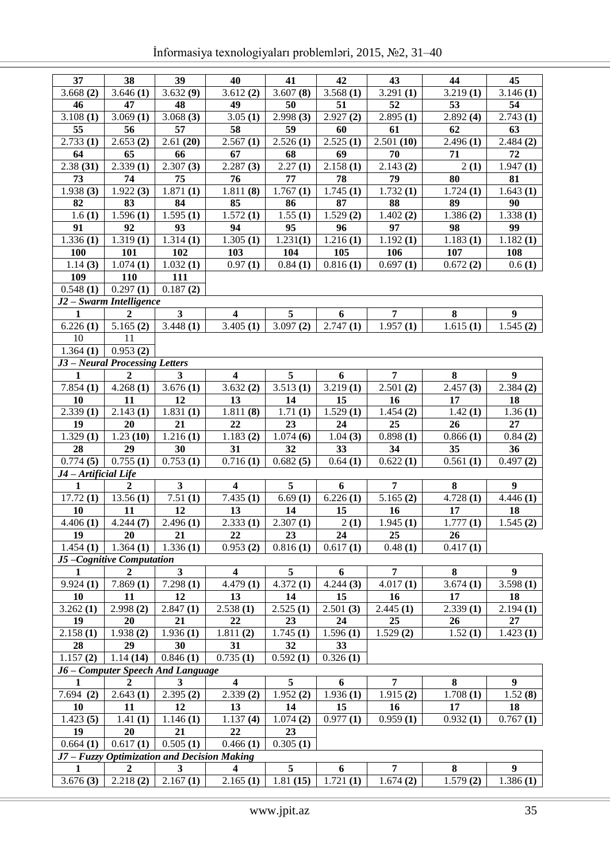| 37                   | 38                                  | 39                                          | 40                      | 41                     | 42                     | 43                     | 44                    | 45                     |
|----------------------|-------------------------------------|---------------------------------------------|-------------------------|------------------------|------------------------|------------------------|-----------------------|------------------------|
| 3.668(2)             | $\overline{3.646}$ (1)              | 3.632(9)                                    | 3.612(2)                | 3.607(8)               | 3.568(1)               | $\overline{3.291}$ (1) | 3.219(1)              | $\overline{3.146}$ (1) |
| 46                   | 47                                  | 48                                          | 49                      | 50                     | 51                     | 52                     | 53                    | 54                     |
| 3.108(1)             | $\overline{3.069}$ (1)              | 3.068(3)                                    | $\overline{3.05}$ (1)   | 2.998(3)               | 2.927(2)               | 2.895(1)               | 2.892(4)              | 2.743(1)               |
| 55                   | 56                                  | 57                                          | 58                      | 59                     | 60                     | 61                     | 62                    | 63                     |
| 2.733(1)             | 2.653(2)                            | 2.61(20)                                    | 2.567(1)                | $\overline{2.526}$ (1) | 2.525(1)               | 2.501(10)              | 2.496(1)              | 2.484(2)               |
| 64                   | 65                                  | 66                                          | 67                      | 68                     | 69                     | 70                     | 71                    | 72                     |
| 2.38(31)             | 2.339(1)                            | 2.307(3)                                    | 2.287(3)                | $\overline{2.27(1)}$   | 2.158(1)               | $\overline{2.}143(2)$  | 2(1)                  | 1.947(1)               |
| 73                   | 74                                  | 75                                          | 76                      | 77                     | 78                     | 79                     | 80                    | 81                     |
| 1.938(3)             | $\overline{1.922(3)}$               | 1.871(1)                                    | 1.811(8)                | 1.767(1)               | $\overline{1.745(1)}$  | 1.732(1)               | 1.724(1)              | 1.643(1)               |
| 82                   | 83                                  | 84                                          | 85                      | 86                     | 87                     | 88                     | 89                    | 90                     |
| 1.6(1)               | $\overline{1.596(1)}$               | $\overline{1.595(1)}$                       | 1.572(1)                | 1.55(1)                | 1.529(2)               | 1.402(2)               | 1.386(2)              | 1.338(1)               |
| 91                   | 92                                  | 93                                          | 94                      | 95                     | $9\overline{6}$        | 97                     | 98                    | 99                     |
| 1.336(1)             | $\overline{1.319(1)}$               | $\overline{1.314(1)}$                       | $\overline{1.305}$ (1)  | $\overline{1.23}1(1)$  | 1.216(1)               | $\overline{1.192}$ (1) | 1.183(1)              | 1.182(1)               |
| 100                  | 101                                 | 102                                         | 103                     | 104                    | 105                    | 106                    | 107                   | 108                    |
| 1.14(3)              | $\overline{1.074(1)}$               | $\overline{1.032(1)}$                       | 0.97(1)                 | 0.84(1)                | $\overline{0.816(1)}$  | 0.697(1)               | 0.672(2)              | 0.6(1)                 |
| 109                  | 110                                 | 111                                         |                         |                        |                        |                        |                       |                        |
| 0.548(1)             | 0.297(1)                            | 0.187(2)                                    |                         |                        |                        |                        |                       |                        |
|                      | $\overline{J2-S}$ warm Intelligence |                                             |                         |                        |                        |                        |                       |                        |
| $\mathbf{1}$         | $\overline{2}$                      | $\overline{\mathbf{3}}$                     | $\overline{\mathbf{4}}$ | 5                      | 6                      | $\overline{7}$         | 8                     | $\boldsymbol{9}$       |
| 6.226(1)             | 5.165(2)                            | 3.448(1)                                    | $\overline{3.405(1)}$   | 3.097(2)               | 2.747(1)               | 1.957(1)               | $\overline{1.615(1)}$ | 1.545(2)               |
| 10                   | 11                                  |                                             |                         |                        |                        |                        |                       |                        |
| 1.364(1)             | 0.953(2)                            |                                             |                         |                        |                        |                        |                       |                        |
|                      | J3 - Neural Processing Letters      |                                             |                         |                        |                        |                        |                       |                        |
| $\mathbf{1}$         | $\boldsymbol{2}$                    | 3                                           | $\overline{\mathbf{4}}$ | 5                      | 6                      | $\overline{7}$         | 8                     | $\boldsymbol{9}$       |
| 7.854(1)             | $\overline{4.268}$ (1)              | $\overline{3.676}$ (1)                      | 3.632(2)                | $\overline{3.513(1)}$  | $\overline{3.219(1)}$  | 2.501(2)               | 2.457(3)              | 2.384(2)               |
| 10                   | 11                                  | 12                                          | 13                      | 14                     | 15                     | 16                     | 17                    | 18                     |
| 2.339(1)             | $\overline{2}.143(1)$               | 1.831(1)                                    | $\overline{1.811}$ (8)  | 1.71(1)                | $\overline{1.529}$ (1) | 1.454(2)               | 1.42(1)               | 1.36(1)                |
| 19                   | 20                                  | 21                                          | 22                      | 23                     | 24                     | 25                     | 26                    | 27                     |
| 1.329(1)             | $\overline{1.23}$ (10)              |                                             |                         |                        |                        |                        |                       |                        |
|                      |                                     | 1.216(1)                                    | $\overline{1.183}$ (2)  | 1.074(6)               | $\overline{1.04}$ (3)  | 0.898(1)               | 0.866(1)              | 0.84(2)                |
| 28                   | 29                                  | 30                                          | 31                      | 32                     | 33                     | 34                     | 35                    | 36                     |
| 0.774(5)             | 0.755(1)                            | 0.753(1)                                    | $\overline{0.716(1)}$   | $\overline{0.682(5)}$  | $\overline{0.64}$ (1)  | $\overline{0.622}$ (1) | 0.561(1)              | 0.497(2)               |
| J4 - Artificial Life |                                     |                                             |                         |                        |                        |                        |                       |                        |
| $\mathbf{1}$         | $\overline{2}$                      | $\overline{\mathbf{3}}$                     | $\overline{\mathbf{4}}$ | $\overline{5}$         | 6                      | $\overline{7}$         | 8                     | $\boldsymbol{9}$       |
| 17.72(1)             |                                     | $\overline{7.51}$ (1)                       | 7.435(1)                | $\overline{6.69}$ (1)  | 6.226(1)               | 5.165(2)               | 4.728(1)              | 4.446(1)               |
| 10                   | 13.56(1)<br>11                      | 12                                          | 13                      | 14                     | 15                     | 16                     | 17                    | 18                     |
| 4.406(1)             | $\overline{4.244(7)}$               | 2.496(1)                                    | 2.333(1)                | 2.307(1)               | 2(1)                   | 1.945(1)               | 1.777(1)              | 1.545(2)               |
| 19                   | 20                                  | 21                                          | 22                      | 23                     | 24                     | 25                     | 26                    |                        |
| 1.454(1)             | 1.364(1)                            | 1.336(1)                                    | 0.953(2)                | 0.816(1)               | 0.617(1)               | 0.48(1)                | 0.417(1)              |                        |
|                      | J5-Cognitive Computation            |                                             |                         |                        |                        |                        |                       |                        |
| $\mathbf{1}$         | $\overline{2}$                      | $\mathbf{3}$                                | $\overline{\mathbf{4}}$ | 5                      | 6                      | $\overline{7}$         | 8                     | $\boldsymbol{9}$       |
| 9.924(1)             | 7.869(1)                            | 7.298(1)                                    | 4.479(1)                | 4.372(1)               | 4.244(3)               | 4.017(1)               | 3.674(1)              | $\overline{3.598}$ (1) |
| <b>10</b>            | 11                                  | 12                                          | 13                      | 14                     | 15                     | 16                     | 17                    | 18                     |
| 3.262(1)             | 2.998(2)                            | 2.847(1)                                    | 2.538(1)                | 2.525(1)               | 2.501(3)               | 2.445(1)               | 2.339(1)              | 2.194(1)               |
| 19                   | 20                                  | 21                                          | 22                      | 23                     | 24                     | 25                     | 26                    | 27                     |
| 2.158(1)             | 1.938(2)                            | 1.936(1)                                    | 1.811(2)                | 1.745(1)               | 1.596(1)               | 1.529(2)               | 1.52(1)               | 1.423(1)               |
| 28                   | 29                                  | 30                                          | 31                      | 32                     | 33                     |                        |                       |                        |
| 1.157(2)             | 1.14(14)                            | 0.846(1)                                    | 0.735(1)                | 0.592(1)               | 0.326(1)               |                        |                       |                        |
|                      |                                     | J6 - Computer Speech And Language           |                         |                        |                        |                        |                       |                        |
| $\mathbf{1}$         | $\boldsymbol{2}$                    | $\mathbf{3}$                                | $\overline{\mathbf{4}}$ | 5                      | 6                      | 7                      | 8                     | $\boldsymbol{9}$       |
| 7.694(2)             | 2.643(1)                            | 2.395(2)                                    | 2.339(2)                | 1.952(2)               | 1.936(1)               | 1.915(2)               | 1.708(1)              | 1.52(8)                |
| 10                   | 11                                  | 12                                          | 13                      | 14                     | 15                     | 16                     | 17                    | 18                     |
| 1.423(5)             | 1.41(1)                             | 1.146(1)                                    | 1.137(4)                | 1.074(2)               | 0.977(1)               | 0.959(1)               | 0.932(1)              | 0.767(1)               |
| 19                   | 20                                  | 21                                          | 22                      | 23                     |                        |                        |                       |                        |
| 0.664(1)             | 0.617(1)                            | 0.505(1)                                    | 0.466(1)                | 0.305(1)               |                        |                        |                       |                        |
|                      |                                     | J7 - Fuzzy Optimization and Decision Making |                         |                        |                        |                        |                       |                        |
| 1                    | $\boldsymbol{2}$                    | $\mathbf{3}$                                | $\overline{\mathbf{4}}$ | 5                      | 6                      | $\overline{7}$         | 8                     | $\boldsymbol{9}$       |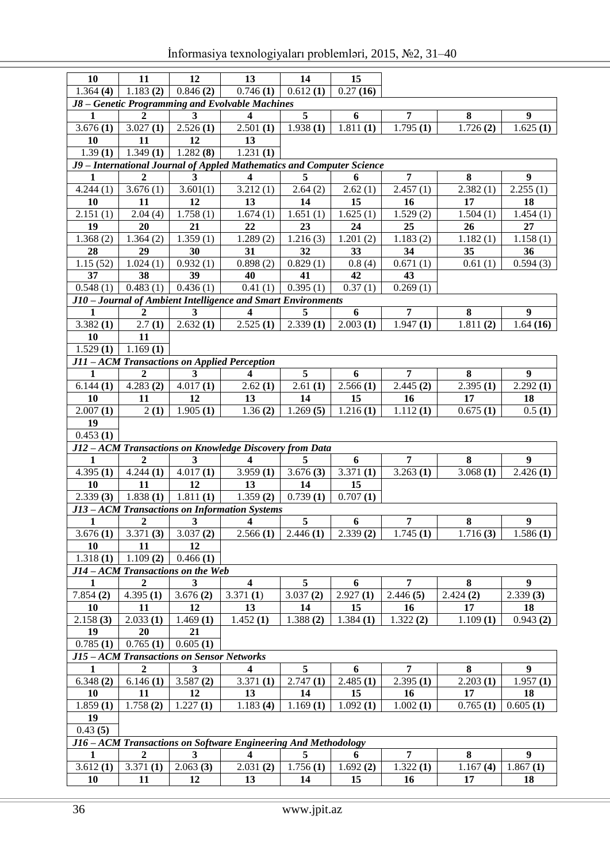| <b>10</b>                                    | 11                                                             | 12           | 13                                                                               | 14                      | 15               |                        |                        |                  |  |  |
|----------------------------------------------|----------------------------------------------------------------|--------------|----------------------------------------------------------------------------------|-------------------------|------------------|------------------------|------------------------|------------------|--|--|
| 1.364(4)                                     | 1.183(2)                                                       | 0.846(2)     | 0.746(1)                                                                         | 0.612(1)                | 0.27(16)         |                        |                        |                  |  |  |
|                                              |                                                                |              | J8 - Genetic Programming and Evolvable Machines                                  |                         |                  |                        |                        |                  |  |  |
| 1                                            | $\mathbf{2}$                                                   | 3            | $\overline{\mathbf{4}}$                                                          | $\overline{\mathbf{5}}$ | 6                | $\overline{7}$         | 8                      | 9                |  |  |
| 3.676(1)                                     | 3.027(1)                                                       | 2.526(1)     | 2.501(1)                                                                         | 1.938(1)                | 1.811(1)         | 1.795(1)               | $\overline{1.726(2)}$  | 1.625(1)         |  |  |
| <b>10</b>                                    | 11                                                             | 12           | 13                                                                               |                         |                  |                        |                        |                  |  |  |
| 1.39(1)                                      | 1.349(1)                                                       | 1.282(8)     | 1.231(1)                                                                         |                         |                  |                        |                        |                  |  |  |
|                                              |                                                                |              | J9 - International Journal of Appled Mathematics and Computer Science            |                         |                  |                        |                        |                  |  |  |
| 1                                            | $\overline{2}$                                                 | 3            | $\overline{\mathbf{4}}$                                                          | 5                       | 6                | $\overline{7}$         | 8                      | $\boldsymbol{9}$ |  |  |
| 4.244(1)                                     | 3.676(1)                                                       | 3.601(1)     | 3.212(1)                                                                         | 2.64(2)                 | 2.62(1)          | 2.457(1)               | 2.382(1)               | 2.255(1)         |  |  |
| <b>10</b>                                    | 11                                                             | 12           | 13                                                                               | 14                      | 15               | 16                     | 17                     | 18               |  |  |
| 2.151(1)                                     | 2.04(4)                                                        | 1.758(1)     | 1.674(1)                                                                         | 1.651(1)                | 1.625(1)         | 1.529(2)               | 1.504(1)               | 1.454(1)         |  |  |
| 19                                           | 20                                                             | 21           | 22                                                                               | 23                      | 24               | 25                     | 26                     | 27               |  |  |
| 1.368(2)                                     | 1.364(2)                                                       | 1.359(1)     | 1.289(2)                                                                         | 1.216(3)                | 1.201(2)         | 1.183(2)               | 1.182(1)               | 1.158(1)         |  |  |
| 28                                           | 29                                                             | 30           | 31                                                                               | 32                      | 33               | 34                     | 35                     | 36               |  |  |
| 1.15(52)                                     | 1.024(1)                                                       | 0.932(1)     | 0.898(2)                                                                         | 0.829(1)                | 0.8(4)           | 0.671(1)               | 0.61(1)                | 0.594(3)         |  |  |
| 37                                           | 38                                                             | 39           | 40                                                                               | 41                      | 42               | 43                     |                        |                  |  |  |
| 0.548(1)                                     | 0.483(1)                                                       | 0.436(1)     | 0.41(1)                                                                          | 0.395(1)                | 0.37(1)          | 0.269(1)               |                        |                  |  |  |
|                                              |                                                                |              | J10 - Journal of Ambient Intelligence and Smart Environments                     |                         |                  |                        |                        |                  |  |  |
| $\mathbf{1}$                                 | $\overline{2}$                                                 | 3            | $\overline{\mathbf{4}}$                                                          | 5                       | 6                | $\overline{7}$         | $\bf{8}$               | $\boldsymbol{9}$ |  |  |
| 3.382(1)                                     | 2.7(1)                                                         | 2.632(1)     | 2.525(1)                                                                         | 2.339(1)                | 2.003(1)         | $\overline{1.947}$ (1) | $\overline{1.811}$ (2) | 1.64(16)         |  |  |
| <b>10</b>                                    | 11                                                             |              |                                                                                  |                         |                  |                        |                        |                  |  |  |
| 1.169(1)<br>1.529(1)                         |                                                                |              |                                                                                  |                         |                  |                        |                        |                  |  |  |
| J11 - ACM Transactions on Applied Perception |                                                                |              |                                                                                  |                         |                  |                        |                        |                  |  |  |
| $\mathbf{1}$                                 | $\overline{2}$                                                 | 3            | $\overline{\mathbf{4}}$                                                          | 5                       | 6                | $\overline{7}$         | 8                      | $\boldsymbol{9}$ |  |  |
| 6.144(1)                                     | 4.283(2)                                                       | 4.017(1)     | 2.62(1)                                                                          | 2.61(1)                 | 2.566(1)         | 2.445(2)               | 2.395(1)               | 2.292(1)         |  |  |
| 10                                           | 11                                                             | 12           | 13                                                                               | 14                      | 15               | 16                     | 17                     | 18               |  |  |
| 2.007(1)                                     | 2(1)                                                           | 1.905(1)     | 1.36(2)                                                                          | 1.269(5)                | 1.216(1)         | 1.112(1)               | 0.675(1)               | 0.5(1)           |  |  |
| 19                                           |                                                                |              |                                                                                  |                         |                  |                        |                        |                  |  |  |
| 0.453(1)                                     |                                                                |              |                                                                                  |                         |                  |                        |                        |                  |  |  |
|                                              |                                                                |              |                                                                                  |                         |                  |                        |                        |                  |  |  |
| $\mathbf{1}$                                 | $\mathbf{2}$                                                   | 3            | J12-ACM Transactions on Knowledge Discovery from Data<br>$\overline{\mathbf{4}}$ | 5                       |                  | $\overline{7}$         | 8                      |                  |  |  |
|                                              | 4.244(1)                                                       | 4.017(1)     |                                                                                  |                         | 6                |                        |                        | 9<br>2.426(1)    |  |  |
| 4.395(1)                                     |                                                                |              | 3.959(1)                                                                         | 3.676(3)                | 3.371(1)         | 3.263(1)               | 3.068(1)               |                  |  |  |
| 10                                           | 11                                                             | 12           | 13                                                                               | 14                      | 15               |                        |                        |                  |  |  |
| 2.339(3)                                     | 1.838(1)                                                       | 1.811(1)     | 1.359(2)                                                                         | 0.739(1)                | 0.707(1)         |                        |                        |                  |  |  |
|                                              |                                                                |              | J13 - ACM Transactions on Information Systems                                    |                         |                  |                        |                        |                  |  |  |
| $\mathbf{1}$                                 | $\boldsymbol{2}$                                               | $\mathbf{3}$ | $\overline{\mathbf{4}}$                                                          | $\sqrt{5}$              | $\boldsymbol{6}$ | $\overline{7}$         | $\bf 8$                | $\boldsymbol{9}$ |  |  |
| 3.676(1)                                     | 3.371(3)                                                       | 3.037(2)     | 2.566(1)                                                                         | 2.446(1)                | 2.339(2)         | 1.745(1)               | 1.716(3)               | 1.586(1)         |  |  |
| <b>10</b>                                    | 11                                                             | 12           |                                                                                  |                         |                  |                        |                        |                  |  |  |
| 1.318(1)                                     | 1.109(2)                                                       | 0.466(1)     |                                                                                  |                         |                  |                        |                        |                  |  |  |
|                                              | J14 - ACM Transactions on the Web                              |              |                                                                                  |                         |                  |                        |                        |                  |  |  |
| 1                                            | $\boldsymbol{2}$                                               | 3            | $\overline{\mathbf{4}}$                                                          | 5                       | 6                | 7                      | 8                      | 9                |  |  |
| 7.854(2)                                     | 4.395(1)                                                       | 3.676(2)     | 3.371(1)                                                                         | 3.037(2)                | 2.927(1)         | 2.446(5)               | 2.424(2)               | 2.339(3)         |  |  |
| <b>10</b>                                    | 11                                                             | 12           | 13                                                                               | 14                      | 15               | 16                     | 17                     | 18               |  |  |
| 2.158(3)                                     | 2.033(1)                                                       | 1.469(1)     | 1.452(1)                                                                         | 1.388(2)                | 1.384(1)         | 1.322(2)               | 1.109(1)               | 0.943(2)         |  |  |
| 19                                           | 20                                                             | 21           |                                                                                  |                         |                  |                        |                        |                  |  |  |
| 0.785(1)                                     | 0.765(1)                                                       | 0.605(1)     |                                                                                  |                         |                  |                        |                        |                  |  |  |
|                                              | J15 - ACM Transactions on Sensor Networks                      |              |                                                                                  |                         |                  |                        |                        |                  |  |  |
| $\mathbf{1}$                                 | $\boldsymbol{2}$                                               | 3            | 4                                                                                | 5                       | 6                | 7                      | 8                      | 9                |  |  |
| 6.348(2)                                     | 6.146(1)                                                       | 3.587(2)     | 3.371(1)                                                                         | 2.747(1)                | 2.485(1)         | 2.395(1)               | 2.203(1)               | 1.957(1)         |  |  |
| <b>10</b>                                    | 11                                                             | 12           | 13                                                                               | 14                      | 15               | 16                     | 17                     | 18               |  |  |
| 1.859(1)                                     | 1.758(2)                                                       | 1.227(1)     | 1.183(4)                                                                         | 1.169(1)                | 1.092(1)         | 1.002(1)               | 0.765(1)               | 0.605(1)         |  |  |
| 19                                           |                                                                |              |                                                                                  |                         |                  |                        |                        |                  |  |  |
| 0.43(5)                                      |                                                                |              |                                                                                  |                         |                  |                        |                        |                  |  |  |
|                                              | J16 - ACM Transactions on Software Engineering And Methodology |              |                                                                                  |                         |                  |                        |                        |                  |  |  |
| 1                                            |                                                                |              |                                                                                  |                         |                  |                        |                        |                  |  |  |
|                                              | $\overline{2}$                                                 | 3            | 4                                                                                | 5                       | 6                | 7                      | 8                      | 9                |  |  |
| 3.612(1)                                     | 3.371(1)                                                       | 2.063(3)     | 2.031(2)                                                                         | 1.756(1)                | 1.692(2)         | 1.322(1)               | 1.167(4)               | 1.867(1)         |  |  |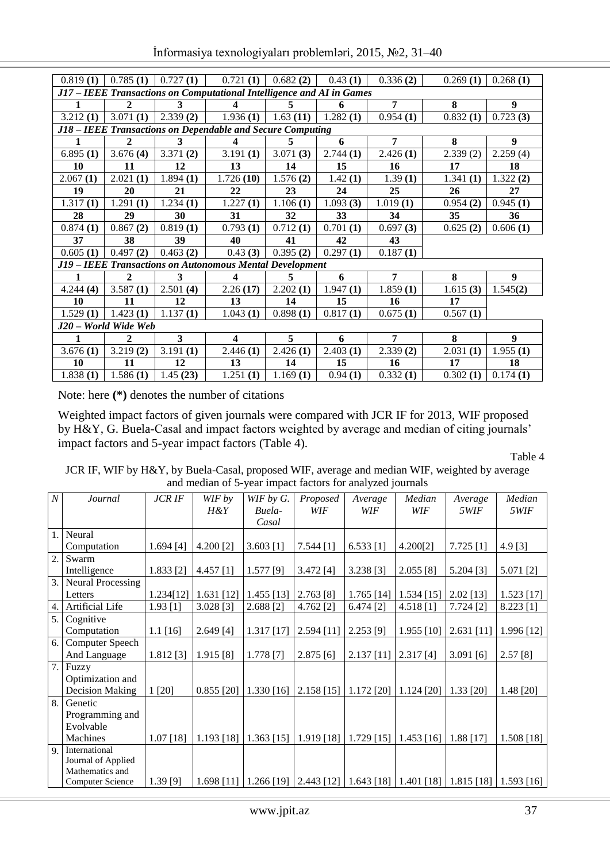|  | İnformasiya texnologiyaları problemləri, 2015, №2, 31-40 |  |  |
|--|----------------------------------------------------------|--|--|
|  |                                                          |  |  |

| 0.819(1) | 0.785(1)               | 0.727(1) | 0.721(1)                                                              | 0.682(2) | 0.43(1)  | 0.336(2)       | 0.269(1) | 0.268(1)         |
|----------|------------------------|----------|-----------------------------------------------------------------------|----------|----------|----------------|----------|------------------|
|          |                        |          | J17 - IEEE Transactions on Computational Intelligence and AI in Games |          |          |                |          |                  |
| 1        | $\mathbf{2}$           | 3        | $\overline{\mathbf{4}}$                                               | 5        | 6        | 7              | 8        | $\boldsymbol{9}$ |
| 3.212(1) | 3.071(1)               | 2.339(2) | 1.936(1)                                                              | 1.63(11) | 1.282(1) | 0.954(1)       | 0.832(1) | 0.723(3)         |
|          |                        |          | J18 – IEEE Transactions on Dependable and Secure Computing            |          |          |                |          |                  |
|          | 2                      | 3        | 4                                                                     | 5.       | 6        | 7              | 8        | 9                |
| 6.895(1) | 3.676(4)               | 3.371(2) | 3.191(1)                                                              | 3.071(3) | 2.744(1) | 2.426(1)       | 2.339(2) | 2.259(4)         |
| 10       | 11                     | 12       | 13                                                                    | 14       | 15       | 16             | 17       | 18               |
| 2.067(1) | 2.021(1)               | 1.894(1) | 1.726(10)                                                             | 1.576(2) | 1.42(1)  | 1.39(1)        | 1.341(1) | 1.322(2)         |
| 19       | 20                     | 21       | 22                                                                    | 23       | 24       | 25             | 26       | $27\,$           |
| 1.317(1) | 1.291(1)               | 1.234(1) | 1.227(1)                                                              | 1.106(1) | 1.093(3) | 1.019(1)       | 0.954(2) | 0.945(1)         |
| 28       | 29                     | 30       | 31                                                                    | 32       | 33       | 34             | 35       | 36               |
| 0.874(1) | 0.867(2)               | 0.819(1) | 0.793(1)                                                              | 0.712(1) | 0.701(1) | 0.697(3)       | 0.625(2) | 0.606(1)         |
| 37       | 38                     | 39       | 40                                                                    | 41       | 42       | 43             |          |                  |
| 0.605(1) | 0.497(2)               | 0.463(2) | 0.43(3)                                                               | 0.395(2) | 0.297(1) | 0.187(1)       |          |                  |
|          |                        |          | J19 - IEEE Transactions on Autonomous Mental Development              |          |          |                |          |                  |
| 1        | $\mathbf{2}$           | 3        | $\boldsymbol{4}$                                                      | 5        | 6        | $\overline{7}$ | 8        | 9                |
| 4.244(4) | $\overline{3.587}$ (1) | 2.501(4) | 2.26(17)                                                              | 2.202(1) | 1.947(1) | 1.859(1)       | 1.615(3) | 1.545(2)         |
| 10       | 11                     | 12       | 13                                                                    | 14       | 15       | 16             | 17       |                  |
| 1.529(1) | 1.423(1)               | 1.137(1) | 1.043(1)                                                              | 0.898(1) | 0.817(1) | 0.675(1)       | 0.567(1) |                  |
|          | J20 - World Wide Web   |          |                                                                       |          |          |                |          |                  |
| 1        | $\mathbf{2}$           | 3        | $\overline{\mathbf{4}}$                                               | 5        | 6        | 7              | 8        | 9                |
| 3.676(1) | 3.219(2)               | 3.191(1) | 2.446(1)                                                              | 2.426(1) | 2.403(1) | 2.339(2)       | 2.031(1) | 1.955(1)         |
| 10       | 11                     | 12       | 13                                                                    | 14       | 15       | 16             | 17       | 18               |
| 1.838(1) | 1.586(1)               | 1.45(23) | 1.251(1)                                                              | 1.169(1) | 0.94(1)  | 0.332(1)       | 0.302(1) | 0.174(1)         |

Note: here **(\*)** denotes the number of citations

Weighted impact factors of given journals were compared with JCR IF for 2013, WIF proposed by H&Y, G. Buela-Casal and impact factors weighted by average and median of citing journals' impact factors and 5-year impact factors (Table 4).

Table 4

JCR IF, WIF by H&Y, by Buela-Casal, proposed WIF, average and median WIF, weighted by average and median of 5-year impact factors for analyzed journals

| $\overline{N}$ | Journal                  | <b>JCR IF</b> | WIF by       | WIF by $G$ . | Proposed   | Average      | Median       | Average                                                        | Median       |
|----------------|--------------------------|---------------|--------------|--------------|------------|--------------|--------------|----------------------------------------------------------------|--------------|
|                |                          |               | $H\&Y$       | Buela-       | WIF        | WIF          | WIF          | 5WIF                                                           | 5WIF         |
|                |                          |               |              | Casal        |            |              |              |                                                                |              |
| 1.             | Neural                   |               |              |              |            |              |              |                                                                |              |
|                | Computation              | 1.694[4]      | 4.200 [2]    | $3.603$ [1]  | 7.544[1]   | $6.533$ [1]  | 4.200[2]     | 7.725[1]                                                       | 4.9 [3]      |
| 2.             | Swarm                    |               |              |              |            |              |              |                                                                |              |
|                | Intelligence             | 1.833 [2]     | 4.457 [1]    | $1.577$ [9]  | 3.472 [4]  | 3.238 [3]    | 2.055 [8]    | 5.204 [3]                                                      | 5.071 [2]    |
| 3.             | <b>Neural Processing</b> |               |              |              |            |              |              |                                                                |              |
|                | Letters                  | 1.234[12]     | 1.631 [12]   | 1.455 [13]   | 2.763 [8]  | $1.765$ [14] | $1.534$ [15] | $2.02$ [13]                                                    | $1.523$ [17] |
| 4.             | Artificial Life          | 1.93[1]       | 3.028 [3]    | 2.688 [2]    | 4.762 [2]  | 6.474 [2]    | 4.518 [1]    | 7.724 [2]                                                      | 8.223 [1]    |
| 5.             | Cognitive                |               |              |              |            |              |              |                                                                |              |
|                | Computation              | $1.1$ [16]    | 2.649 [4]    | 1.317 [17]   | 2.594 [11] | $2.253$ [9]  | 1.955 [10]   | $2.631$ [11]                                                   | 1.996 [12]   |
| 6.             | Computer Speech          |               |              |              |            |              |              |                                                                |              |
|                | And Language             | 1.812 [3]     | 1.915 [8]    | 1.778[7]     | 2.875[6]   | $2.137$ [11] | 2.317[4]     | $3.091$ [6]                                                    | 2.57[8]      |
| 7.             | Fuzzy                    |               |              |              |            |              |              |                                                                |              |
|                | Optimization and         |               |              |              |            |              |              |                                                                |              |
|                | <b>Decision Making</b>   | 1[20]         | $0.855$ [20] | 1.330 [16]   | 2.158[15]  | $1.172$ [20] | $1.124$ [20] | 1.33 [20]                                                      | 1.48 [20]    |
| 8.             | Genetic                  |               |              |              |            |              |              |                                                                |              |
|                | Programming and          |               |              |              |            |              |              |                                                                |              |
|                | Evolvable                |               |              |              |            |              |              |                                                                |              |
|                | Machines                 | $1.07$ [18]   | 1.193 [18]   | $1.363$ [15] | 1.919 [18] | $1.729$ [15] | $1.453$ [16] | 1.88 [17]                                                      | 1.508[18]    |
| 9              | International            |               |              |              |            |              |              |                                                                |              |
|                | Journal of Applied       |               |              |              |            |              |              |                                                                |              |
|                | Mathematics and          |               |              |              |            |              |              |                                                                |              |
|                | <b>Computer Science</b>  | 1.39[9]       | $1.698$ [11] | 1.266 [19]   |            |              |              | 2.443 [12]   1.643 [18]   1.401 [18]   1.815 [18]   1.593 [16] |              |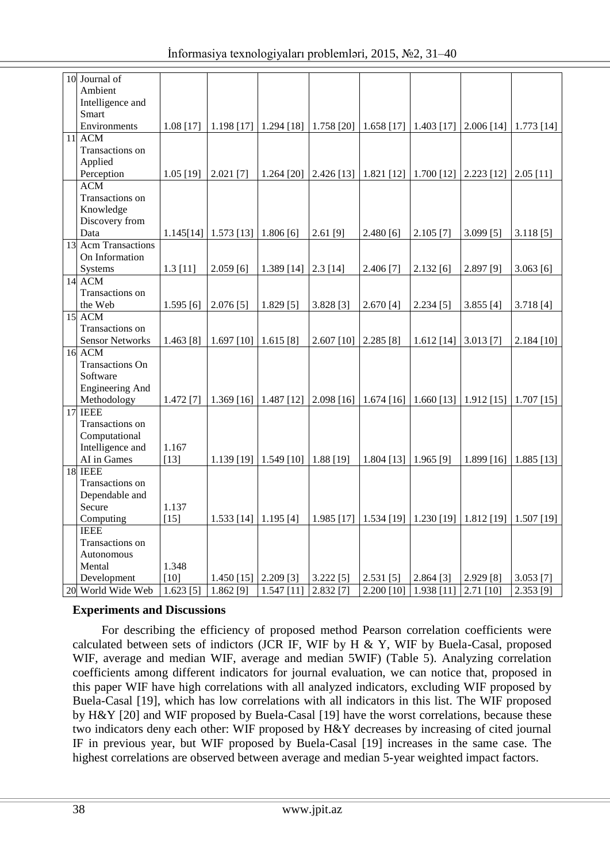| 10 Journal of          |            |                                      |                                                 |              |                                                                                                                          |                                                               |                      |              |
|------------------------|------------|--------------------------------------|-------------------------------------------------|--------------|--------------------------------------------------------------------------------------------------------------------------|---------------------------------------------------------------|----------------------|--------------|
| Ambient                |            |                                      |                                                 |              |                                                                                                                          |                                                               |                      |              |
| Intelligence and       |            |                                      |                                                 |              |                                                                                                                          |                                                               |                      |              |
| Smart                  |            |                                      |                                                 |              |                                                                                                                          |                                                               |                      |              |
| Environments           | 1.08 [17]  | $1.198$ [17]                         |                                                 |              | $\mid$ 1.294 [18] $\mid$ 1.758 [20] $\mid$ 1.658 [17] $\mid$ 1.403 [17]                                                  |                                                               | $2.006$ [14]         | $1.773$ [14] |
| <b>11 ACM</b>          |            |                                      |                                                 |              |                                                                                                                          |                                                               |                      |              |
| Transactions on        |            |                                      |                                                 |              |                                                                                                                          |                                                               |                      |              |
| Applied                |            |                                      |                                                 |              |                                                                                                                          |                                                               |                      |              |
| Perception             | 1.05 [19]  | $2.021$ [7]                          |                                                 |              | 1.264 [20] $\big  2.426 \big[ 13 \big] \big  1.821 \big[ 12 \big] \big  1.700 \big[ 12 \big] \big  2.223 \big[ 12 \big]$ |                                                               |                      | $2.05$ [11]  |
| <b>ACM</b>             |            |                                      |                                                 |              |                                                                                                                          |                                                               |                      |              |
| Transactions on        |            |                                      |                                                 |              |                                                                                                                          |                                                               |                      |              |
| Knowledge              |            |                                      |                                                 |              |                                                                                                                          |                                                               |                      |              |
| Discovery from         |            |                                      |                                                 |              |                                                                                                                          |                                                               |                      |              |
| Data                   |            | $1.145[14]$   1.573 [13]   1.806 [6] |                                                 | $2.61$ [9]   | 2.480[6]                                                                                                                 | $2.105$ [7]                                                   | $3.099$ [5]          | 3.118[5]     |
| 13 Acm Transactions    |            |                                      |                                                 |              |                                                                                                                          |                                                               |                      |              |
| On Information         |            |                                      |                                                 |              |                                                                                                                          |                                                               |                      |              |
| Systems                | $1.3$ [11] | 2.059[6]                             | $1.389$ [14]                                    | $2.3$ [14]   | 2.406 [7]                                                                                                                | 2.132[6]                                                      | 2.897 [9]            | 3.063[6]     |
| 14 ACM                 |            |                                      |                                                 |              |                                                                                                                          |                                                               |                      |              |
| Transactions on        |            |                                      |                                                 |              |                                                                                                                          |                                                               |                      |              |
| the Web                | 1.595[6]   | 2.076[5]                             | 1.829[5]                                        | 3.828 [3]    | 2.670[4]                                                                                                                 | $2.234$ [5]                                                   | $3.855$ [4]          | 3.718[4]     |
| 15 ACM                 |            |                                      |                                                 |              |                                                                                                                          |                                                               |                      |              |
| Transactions on        |            |                                      |                                                 |              |                                                                                                                          |                                                               |                      |              |
| <b>Sensor Networks</b> | 1.463 [8]  | $1.697$ [10]                         | 1.615[8]                                        | 2.607 [10]   | 2.285[8]                                                                                                                 | $1.612$ [14]                                                  | $3.013$ [7]          | 2.184 [10]   |
| $16$ ACM               |            |                                      |                                                 |              |                                                                                                                          |                                                               |                      |              |
| <b>Transactions On</b> |            |                                      |                                                 |              |                                                                                                                          |                                                               |                      |              |
| Software               |            |                                      |                                                 |              |                                                                                                                          |                                                               |                      |              |
| <b>Engineering And</b> |            |                                      |                                                 |              |                                                                                                                          |                                                               |                      |              |
| Methodology            | 1.472 [7]  | $1.369$ [16]                         | $1.487$ [12]                                    | $2.098$ [16] | $1.674$ [16]                                                                                                             | $1.660$ [13]                                                  | $1.912$ [15]         | $1.707$ [15] |
| $17$ IEEE              |            |                                      |                                                 |              |                                                                                                                          |                                                               |                      |              |
| Transactions on        |            |                                      |                                                 |              |                                                                                                                          |                                                               |                      |              |
| Computational          |            |                                      |                                                 |              |                                                                                                                          |                                                               |                      |              |
| Intelligence and       | 1.167      |                                      |                                                 |              |                                                                                                                          |                                                               |                      |              |
| AI in Games            | $[13]$     |                                      | 1.139 [19] $\vert$ 1.549 [10] $\vert$ 1.88 [19] |              | $1.804$ [13] 1.965 [9]                                                                                                   |                                                               | $1.899$ [16] $\vert$ | $1.885$ [13] |
| 18 IEEE                |            |                                      |                                                 |              |                                                                                                                          |                                                               |                      |              |
| Transactions on        |            |                                      |                                                 |              |                                                                                                                          |                                                               |                      |              |
| Dependable and         |            |                                      |                                                 |              |                                                                                                                          |                                                               |                      |              |
| Secure                 | 1.137      |                                      |                                                 |              |                                                                                                                          |                                                               |                      |              |
| Computing              | $[15]$     | 1.533 [14] 1.195 [4]                 |                                                 |              | 1.985 [17] 1.534 [19] 1.230 [19] 1.812 [19] 1.507 [19]                                                                   |                                                               |                      |              |
| <b>IEEE</b>            |            |                                      |                                                 |              |                                                                                                                          |                                                               |                      |              |
| Transactions on        |            |                                      |                                                 |              |                                                                                                                          |                                                               |                      |              |
| Autonomous             |            |                                      |                                                 |              |                                                                                                                          |                                                               |                      |              |
| Mental                 | 1.348      |                                      |                                                 |              |                                                                                                                          |                                                               |                      |              |
| Development            | $[10]$     | $1.450$ [15]                         | $2.209$ [3]                                     | $3.222$ [5]  | $2.531$ [5]                                                                                                              | $2.864$ [3]                                                   | 2.929 [8]            | $3.053$ [7]  |
| 20 World Wide Web      | 1.623[5]   | $1.862$ <sup>[9]</sup>               | $1.547$ [11]                                    | 2.832 [7]    |                                                                                                                          | $2.200$ [10] $\overline{)1.938}$ [11] $\overline{)2.71}$ [10] |                      | 2.353 [9]    |

### **Experiments and Discussions**

For describing the efficiency of proposed method Pearson correlation coefficients were calculated between sets of indictors (JCR IF, WIF by H & Y, WIF by Buela-Casal, proposed WIF, average and median WIF, average and median 5WIF) (Table 5). Analyzing correlation coefficients among different indicators for journal evaluation, we can notice that, proposed in this paper WIF have high correlations with all analyzed indicators, excluding WIF proposed by Buela-Casal [19], which has low correlations with all indicators in this list. The WIF proposed by H&Y [20] and WIF proposed by Buela-Casal [19] have the worst correlations, because these two indicators deny each other: WIF proposed by H&Y decreases by increasing of cited journal IF in previous year, but WIF proposed by Buela-Casal [19] increases in the same case. The highest correlations are observed between average and median 5-year weighted impact factors.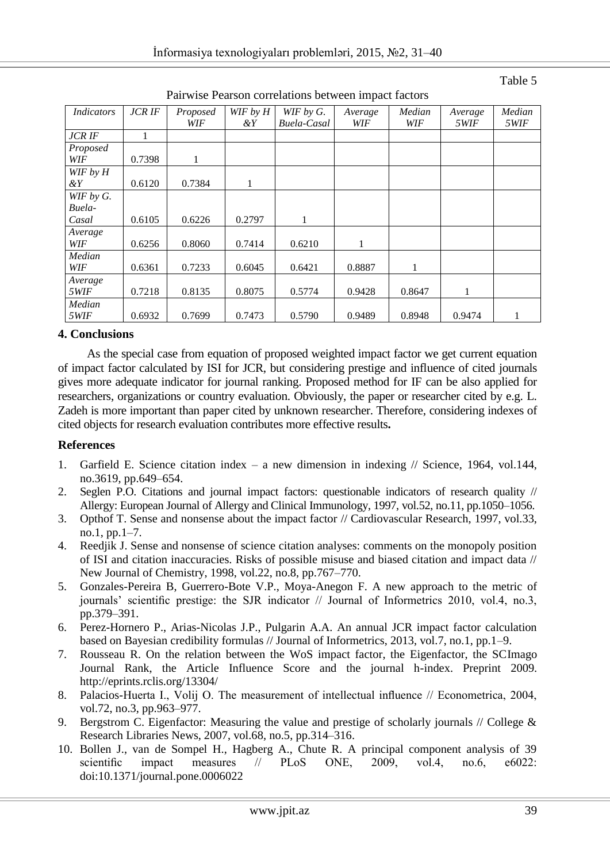| Indicators    | <b>JCRIF</b> | Proposed | WIF by H | WIF by G.          | Average | Median | Average            | Median             |
|---------------|--------------|----------|----------|--------------------|---------|--------|--------------------|--------------------|
|               |              | WIF      | &Υ       | <b>Buela-Casal</b> | WIF     | WIF    | <i><b>5WIF</b></i> | <i><b>5WIF</b></i> |
| <b>JCR IF</b> |              |          |          |                    |         |        |                    |                    |
| Proposed      |              |          |          |                    |         |        |                    |                    |
| WIF           | 0.7398       | 1        |          |                    |         |        |                    |                    |
| WIF by $H$    |              |          |          |                    |         |        |                    |                    |
| $\&Y$         | 0.6120       | 0.7384   | 1        |                    |         |        |                    |                    |
| WIF by G.     |              |          |          |                    |         |        |                    |                    |
| Buela-        |              |          |          |                    |         |        |                    |                    |
| Casal         | 0.6105       | 0.6226   | 0.2797   | $\mathbf{1}$       |         |        |                    |                    |
| Average       |              |          |          |                    |         |        |                    |                    |
| WIF           | 0.6256       | 0.8060   | 0.7414   | 0.6210             | 1       |        |                    |                    |
| Median        |              |          |          |                    |         |        |                    |                    |
| WIF           | 0.6361       | 0.7233   | 0.6045   | 0.6421             | 0.8887  | 1      |                    |                    |
| Average       |              |          |          |                    |         |        |                    |                    |
| 5WIF          | 0.7218       | 0.8135   | 0.8075   | 0.5774             | 0.9428  | 0.8647 | 1                  |                    |
| Median        |              |          |          |                    |         |        |                    |                    |
| 5WIF          | 0.6932       | 0.7699   | 0.7473   | 0.5790             | 0.9489  | 0.8948 | 0.9474             |                    |

Pairwise Pearson correlations between impact factors

### Table 5

### **4. Conclusions**

As the special case from equation of proposed weighted impact factor we get current equation of impact factor calculated by ISI for JCR, but considering prestige and influence of cited journals gives more adequate indicator for journal ranking. Proposed method for IF can be also applied for researchers, organizations or country evaluation. Obviously, the paper or researcher cited by e.g. L. Zadeh is more important than paper cited by unknown researcher. Therefore, considering indexes of cited objects for research evaluation contributes more effective results**.**

#### **References**

- 1. Garfield E. Science citation index a new dimension in indexing // Science, 1964, vol.144, no.3619, pp.649–654.
- 2. Seglen P.O. Citations and journal impact factors: questionable indicators of research quality // Allergy: European Journal of Allergy and Clinical Immunology, 1997, vol.52, no.11, pp.1050–1056.
- 3. Opthof T. Sense and nonsense about the impact factor // Cardiovascular Research, 1997, vol.33, no.1, pp.1–7.
- 4. Reedjik J. Sense and nonsense of science citation analyses: comments on the monopoly position of ISI and citation inaccuracies. Risks of possible misuse and biased citation and impact data // New Journal of Chemistry, 1998, vol.22, no.8, pp.767–770.
- 5. Gonzales-Pereira B, Guerrero-Bote V.P., Moya-Anegon F. A new approach to the metric of journals' scientific prestige: the SJR indicator // Journal of Informetrics 2010, vol.4, no.3, pp.379–391.
- 6. Perez-Hornero P., Arias-Nicolas J.P., Pulgarin A.A. An annual JCR impact factor calculation based on Bayesian credibility formulas // Journal of Informetrics, 2013, vol.7, no.1, pp.1–9.
- 7. Rousseau R. On the relation between the WoS impact factor, the Eigenfactor, the SCImago Journal Rank, the Article Influence Score and the journal h-index. Preprint 2009. <http://eprints.rclis.org/13304/>
- 8. Palacios-Huerta I., Volij O. The measurement of intellectual influence // Econometrica, 2004, vol.72, no.3, pp.963–977.
- 9. Bergstrom C. Eigenfactor: Measuring the value and prestige of scholarly journals // College & Research Libraries News, 2007, vol.68, no.5, pp.314–316.
- 10. Bollen J., van de Sompel H., Hagberg A., Chute R. A principal component analysis of 39 scientific impact measures // PLoS ONE, 2009, vol.4, no.6, e6022: doi:10.1371/journal.pone.0006022